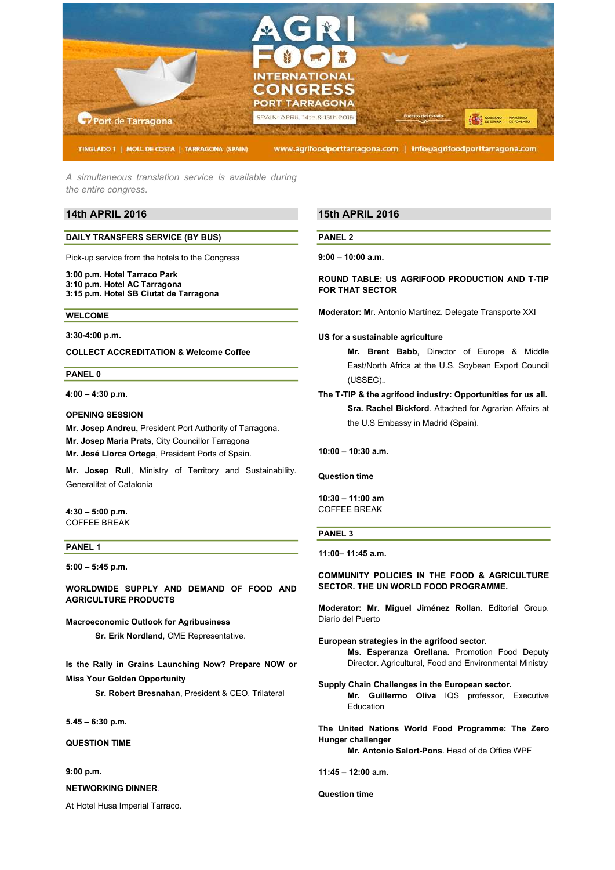

A simultaneous translation service is available during the entire congress.

# 14th APRIL 2016

## DAILY TRANSFERS SERVICE (BY BUS)

Pick-up service from the hotels to the Congress

3:00 p.m. Hotel Tarraco Park 3:10 p.m. Hotel AC Tarragona 3:15 p.m. Hotel SB Ciutat de Tarragona

#### WELCOME

3:30-4:00 p.m.

COLLECT ACCREDITATION & Welcome Coffee

### PANEL 0

4:00 – 4:30 p.m.

## OPENING SESSION

Mr. Josep Andreu, President Port Authority of Tarragona. Mr. Josep Maria Prats, City Councillor Tarragona Mr. José Llorca Ortega, President Ports of Spain.

Mr. Josep Rull, Ministry of Territory and Sustainability. Generalitat of Catalonia

4:30 – 5:00 p.m. COFFEE BREAK

## PANEL 1

5:00 – 5:45 p.m.

WORLDWIDE SUPPLY AND DEMAND OF FOOD AND AGRICULTURE PRODUCTS

Macroeconomic Outlook for Agribusiness

Sr. Erik Nordland, CME Representative.

Is the Rally in Grains Launching Now? Prepare NOW or Miss Your Golden Opportunity

Sr. Robert Bresnahan, President & CEO. Trilateral

5.45 – 6:30 p.m.

QUESTION TIME

9:00 p.m.

### NETWORKING DINNER.

At Hotel Husa Imperial Tarraco.

# 15th APRIL 2016

PANEL 2

 $9:00 - 10:00$  a.m.

ROUND TABLE: US AGRIFOOD PRODUCTION AND T-TIP FOR THAT SECTOR

Moderator: Mr. Antonio Martínez. Delegate Transporte XXI

### US for a sustainable agriculture

Mr. Brent Babb, Director of Europe & Middle East/North Africa at the U.S. Soybean Export Council (USSEC)..

The T-TIP & the agrifood industry: Opportunities for us all. Sra. Rachel Bickford. Attached for Agrarian Affairs at the U.S Embassy in Madrid (Spain).

10:00 – 10:30 a.m.

### Question time

10:30 – 11:00 am COFFEE BREAK

## PANEL 3

11:00– 11:45 a.m.

COMMUNITY POLICIES IN THE FOOD & AGRICULTURE SECTOR. THE UN WORLD FOOD PROGRAMME.

Moderator: Mr. Miguel Jiménez Rollan. Editorial Group. Diario del Puerto

- European strategies in the agrifood sector. Ms. Esperanza Orellana. Promotion Food Deputy Director. Agricultural, Food and Environmental Ministry
- Supply Chain Challenges in the European sector. Mr. Guillermo Oliva IQS professor, Executive Education

The United Nations World Food Programme: The Zero Hunger challenger

Mr. Antonio Salort-Pons. Head of de Office WPF

11:45 – 12:00 a.m.

Question time